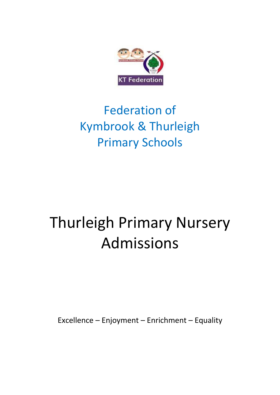

# Federation of Kymbrook & Thurleigh Primary Schools

# Thurleigh Primary Nursery Admissions

Excellence – Enjoyment – Enrichment – Equality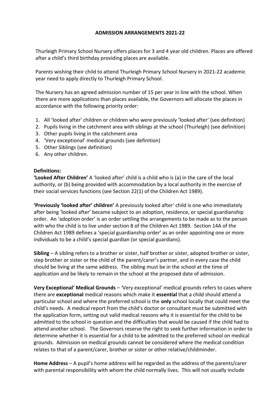## **ADMISSION ARRANGEMENTS 2021-22**

Thurleigh Primary School Nursery offers places for 3 and 4 year old children. Places are offered after a child's third birthday providing places are available.

Parents wishing their child to attend Thurleigh Primary School Nursery in 2021-22 academic year need to apply directly to Thurleigh Primary School.

The Nursery has an agreed admission number of 15 per year in line with the school. When there are more applications than places available, the Governors will allocate the places in accordance with the following priority order:

- 1. All 'looked after' children or children who were previously 'looked after' (see definition)
- 2. Pupils living in the catchment area with siblings at the school (Thurleigh) (see definition)
- 3. Other pupils living in the catchment area
- 4. 'Very exceptional' medical grounds (see definition)
- 5. Other Siblings (see definition)
- 6. Any other children.

### **Definitions:**

**'Looked After Children'** A 'looked after' child is a child who is (a) in the care of the local authority, or (b) being provided with accommodation by a local authority in the exercise of their social services functions (see Section 22(1) of the Children Act 1989).

**'Previously 'looked after' children'** A previously looked after' child is one who immediately after being 'looked after' became subject to an adoption, residence, or special guardianship order. An 'adoption order' is an order settling the arrangements to be made as to the person with who the child is to live under section 8 of the Children Act 1989. Section 14A of the Children Act 1989 defines a 'special guardianship order' as an order appointing one or more individuals to be a child's special guardian (or special guardians).

**Sibling** – A sibling refers to a brother or sister, half brother or sister, adopted brother or sister, step brother or sister or the child of the parent/carer's partner, and in every case the child should be living at the same address. The sibling must be in the school at the time of application and be likely to remain in the school at the proposed date of admission.

**Very Exceptional' Medical Grounds** – *'*Very exceptional' medical grounds refers to cases where there are **exceptional** medical reasons which make it **essential** that a child should attend a particular school and where the preferred school is the **only** school locally that could meet the child's needs. A medical report from the child's doctor or consultant must be submitted with the application form, setting out valid medical reasons why it is essential for the child to be admitted to the school in question and the difficulties that would be caused if the child had to attend another school. The Governors reserve the right to seek further information in order to determine whether it is essential for a child to be admitted to the preferred school on medical grounds. Admission on medical grounds cannot be considered where the medical condition relates to that of a parent/carer, brother or sister or other relative/childminder.

**Home Address** – A pupil's home address will be regarded as the address of the parents/carer with parental responsibility with whom the child normally lives. This will not usually include